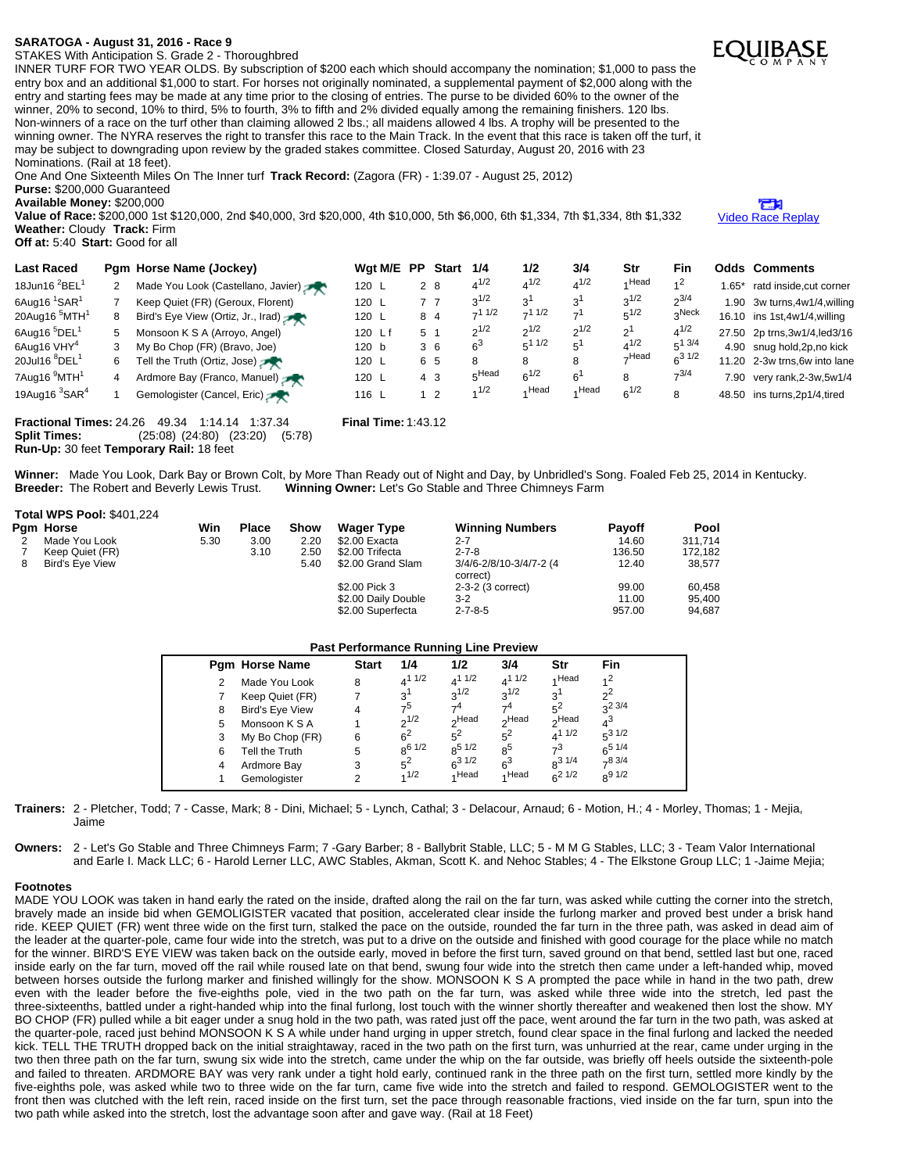## **SARATOGA - August 31, 2016 - Race 9**

STAKES With Anticipation S. Grade 2 - Thoroughbred

INNER TURF FOR TWO YEAR OLDS. By subscription of \$200 each which should accompany the nomination; \$1,000 to pass the entry box and an additional \$1,000 to start. For horses not originally nominated, a supplemental payment of \$2,000 along with the entry and starting fees may be made at any time prior to the closing of entries. The purse to be divided 60% to the owner of the winner, 20% to second, 10% to third, 5% to fourth, 3% to fifth and 2% divided equally among the remaining finishers. 120 lbs. Non-winners of a race on the turf other than claiming allowed 2 lbs.; all maidens allowed 4 lbs. A trophy will be presented to the winning owner. The NYRA reserves the right to transfer this race to the Main Track. In the event that this race is taken off the turf, it may be subject to downgrading upon review by the graded stakes committee. Closed Saturday, August 20, 2016 with 23 Nominations. (Rail at 18 feet).

One And One Sixteenth Miles On The Inner turf **Track Record:** (Zagora (FR) - 1:39.07 - August 25, 2012) **Purse:** \$200,000 Guaranteed

**Available Money:** \$200,000

**Value of Race:** \$200,000 1st \$120,000, 2nd \$40,000, 3rd \$20,000, 4th \$10,000, 5th \$6,000, 6th \$1,334, 7th \$1,334, 8th \$1,332 **Weather:** Cloudy **Track:** Firm **Off at:** 5:40 **Start:** Good for all

| <b>Last Raced</b><br>18Jun16 $^{2}$ BEL <sup>1</sup><br>6Aug16 <sup>1</sup> SAR <sup>1</sup><br>20Aug16 <sup>5</sup> MTH <sup>1</sup><br>6Aug16 <sup>5</sup> DEL <sup>1</sup><br>6Aug16 VHY <sup>4</sup><br>20Jul16 ${}^{8}$ DEL <sup>1</sup><br>7Aug16 <sup>9</sup> MTH <sup>1</sup> | 8<br>5<br>6 | Pqm Horse Name (Jockey)<br>Made You Look (Castellano, Javier)<br>Keep Quiet (FR) (Geroux, Florent)<br>Bird's Eye View (Ortiz, Jr., Irad)<br>Monsoon K S A (Arroyo, Angel)<br>My Bo Chop (FR) (Bravo, Joe)<br>Tell the Truth (Ortiz, Jose)<br>Ardmore Bay (Franco, Manuel) | Wgt M/E PP<br>120 L<br>120 L<br>120 L<br>120 Lf<br>120 b<br>120 L<br>120 L | 2 8<br>77<br>8 4<br>5 1<br>36<br>6 5<br>4 <sub>3</sub><br>1 <sub>2</sub> | <b>Start</b> | 1/4<br>$4^{1/2}$<br>$2^{1/2}$<br>$-11/2$<br>$2^{1/2}$<br>$6^3$<br>8<br>$5$ Head<br>1/2 | 1/2<br>$4^{1/2}$<br>3'<br>$-11/2$<br>$2^{1/2}$<br>$5^{11/2}$<br>8<br>$6^{1/2}$<br>⊿ Head | 3/4<br>$4^{1/2}$<br>3'<br>$\rightarrow$ l<br>$2^{1/2}$<br>$5^1$<br>8<br>6'<br>4 Head | Str<br>Head<br>$3^{1/2}$<br>$5^{1/2}$<br>$2^1$<br>$4^{1/2}$<br>$\neg$ Head<br>8 | Fin<br>$2^{3/4}$<br>Neckہ<br>$4^{1/2}$<br>$5^{1}$ 3/4<br>$6^{31/2}$<br>$-3/4$ | $.65*$<br>7.90 | <b>Odds Comments</b><br>ratd inside, cut corner<br>1.90 3w turns, 4w1/4, willing<br>16.10 ins 1st, 4w1/4, willing<br>27.50 2p trns, 3w1/4, led 3/16<br>4.90 snug hold, 2p, no kick<br>11.20 2-3w trns, 6w into lane<br>very rank, 2-3w, 5w1/4 |
|---------------------------------------------------------------------------------------------------------------------------------------------------------------------------------------------------------------------------------------------------------------------------------------|-------------|---------------------------------------------------------------------------------------------------------------------------------------------------------------------------------------------------------------------------------------------------------------------------|----------------------------------------------------------------------------|--------------------------------------------------------------------------|--------------|----------------------------------------------------------------------------------------|------------------------------------------------------------------------------------------|--------------------------------------------------------------------------------------|---------------------------------------------------------------------------------|-------------------------------------------------------------------------------|----------------|-----------------------------------------------------------------------------------------------------------------------------------------------------------------------------------------------------------------------------------------------|
| 19Aug16 $3$ SAR $4$                                                                                                                                                                                                                                                                   |             | Gemologister (Cancel, Eric)                                                                                                                                                                                                                                               | 116 L                                                                      |                                                                          |              |                                                                                        |                                                                                          |                                                                                      | $6^{1/2}$                                                                       | 8                                                                             | 48.50          | ins turns, 2p1/4, tired                                                                                                                                                                                                                       |

**Fractional Times:** 24.26 49.34 1:14.14 1:37.34 **Final Time:** 1:43.12 **Split Times:** (25:08) (24:80) (23:20) (5:78) **Run-Up:** 30 feet **Temporary Rail:** 18 feet

Winner: Made You Look, Dark Bay or Brown Colt, by More Than Ready out of Night and Day, by Unbridled's Song. Foaled Feb 25, 2014 in Kentucky.<br>Breeder: The Robert and Beverly Lewis Trust. Winning Owner: Let's Go Stable and **Winning Owner:** Let's Go Stable and Three Chimneys Farm

# **Total WPS Pool:** \$401,224

| Pam Horse              | Win  | <b>Place</b> | Show | <b>Wager Type</b>   | <b>Winning Numbers</b>              | <b>Payoff</b> | Pool    |
|------------------------|------|--------------|------|---------------------|-------------------------------------|---------------|---------|
| Made You Look          | 5.30 | 3.00         | 2.20 | \$2.00 Exacta       | $2 - 7$                             | 14.60         | 311.714 |
| Keep Quiet (FR)        |      | 3.10         | 2.50 | \$2.00 Trifecta     | $2 - 7 - 8$                         | 136.50        | 172.182 |
| <b>Bird's Eve View</b> |      |              | 5.40 | \$2.00 Grand Slam   | 3/4/6-2/8/10-3/4/7-2 (4<br>correct) | 12.40         | 38.577  |
|                        |      |              |      | \$2.00 Pick 3       | 2-3-2 (3 correct)                   | 99.00         | 60.458  |
|                        |      |              |      | \$2.00 Daily Double | $3-2$                               | 11.00         | 95.400  |

### **Past Performance Running Line Preview**

\$2.00 Superfecta 2-7-8-5 957.00 94,687

| <b>Pam Horse Name</b>  | <b>Start</b> | 1/4            | 1/2                                               | 3/4                                                             | Str                                          | <b>Fin</b>                                                                    |
|------------------------|--------------|----------------|---------------------------------------------------|-----------------------------------------------------------------|----------------------------------------------|-------------------------------------------------------------------------------|
| Made You Look          | 8            | $4^{11/2}$     | $4^{11/2}$                                        | $4^{11/2}$                                                      | Head                                         | 2،                                                                            |
| Keep Quiet (FR)        |              | 3 <sup>1</sup> |                                                   |                                                                 | 3 <sup>1</sup>                               | $\sim$                                                                        |
| <b>Bird's Eye View</b> | 4            | -5             | --4                                               | - 4                                                             |                                              | $2^{2}3/4$                                                                    |
| Monsoon K S A          |              |                |                                                   |                                                                 |                                              | $4^3$                                                                         |
| My Bo Chop (FR)        | 6            |                |                                                   |                                                                 |                                              | $5^3$ 1/2                                                                     |
| Tell the Truth         | 5            |                |                                                   | 8 <sup>5</sup>                                                  |                                              | $6^{5}$ 1/4                                                                   |
| Ardmore Bay            | 3            |                |                                                   |                                                                 |                                              | $-83/4$                                                                       |
| Gemologister           |              |                |                                                   |                                                                 |                                              | $8^{9}$ 1/2                                                                   |
|                        |              |                | $2^{1/2}$<br>$6^2$<br>$R_0$ 6 1/2<br>$5^2$<br>1/2 | $2^{1/2}$<br>∩Head<br>$5^2$<br>$R^{5}1/2$<br>$6^{3}1/2$<br>Head | $3^{1/2}$<br>∩Head<br>$5^2$<br>$6^3$<br>Head | $5^2$<br><sub>o</sub> Head<br>$4^{11/2}$<br>$7^3$<br>$R^{31/4}$<br>$6^{21/2}$ |

**Trainers:** 2 - Pletcher, Todd; 7 - Casse, Mark; 8 - Dini, Michael; 5 - Lynch, Cathal; 3 - Delacour, Arnaud; 6 - Motion, H.; 4 - Morley, Thomas; 1 - Mejia, Jaime

**Owners:** 2 - Let's Go Stable and Three Chimneys Farm; 7 -Gary Barber; 8 - Ballybrit Stable, LLC; 5 - M M G Stables, LLC; 3 - Team Valor International and Earle I. Mack LLC; 6 - Harold Lerner LLC, AWC Stables, Akman, Scott K. and Nehoc Stables; 4 - The Elkstone Group LLC; 1 -Jaime Mejia;

### **Footnotes**

MADE YOU LOOK was taken in hand early the rated on the inside, drafted along the rail on the far turn, was asked while cutting the corner into the stretch, bravely made an inside bid when GEMOLIGISTER vacated that position, accelerated clear inside the furlong marker and proved best under a brisk hand ride. KEEP QUIET (FR) went three wide on the first turn, stalked the pace on the outside, rounded the far turn in the three path, was asked in dead aim of the leader at the quarter-pole, came four wide into the stretch, was put to a drive on the outside and finished with good courage for the place while no match for the winner. BIRD'S EYE VIEW was taken back on the outside early, moved in before the first turn, saved ground on that bend, settled last but one, raced inside early on the far turn, moved off the rail while roused late on that bend, swung four wide into the stretch then came under a left-handed whip, moved between horses outside the furlong marker and finished willingly for the show. MONSOON K S A prompted the pace while in hand in the two path, drew even with the leader before the five-eighths pole, vied in the two path on the far turn, was asked while three wide into the stretch, led past the three-sixteenths, battled under a right-handed whip into the final furlong, lost touch with the winner shortly thereafter and weakened then lost the show. MY BO CHOP (FR) pulled while a bit eager under a snug hold in the two path, was rated just off the pace, went around the far turn in the two path, was asked at the quarter-pole, raced just behind MONSOON K S A while under hand urging in upper stretch, found clear space in the final furlong and lacked the needed kick. TELL THE TRUTH dropped back on the initial straightaway, raced in the two path on the first turn, was unhurried at the rear, came under urging in the two then three path on the far turn, swung six wide into the stretch, came under the whip on the far outside, was briefly off heels outside the sixteenth-pole and failed to threaten. ARDMORE BAY was very rank under a tight hold early, continued rank in the three path on the first turn, settled more kindly by the five-eighths pole, was asked while two to three wide on the far turn, came five wide into the stretch and failed to respond. GEMOLOGISTER went to the front then was clutched with the left rein, raced inside on the first turn, set the pace through reasonable fractions, vied inside on the far turn, spun into the two path while asked into the stretch, lost the advantage soon after and gave way. (Rail at 18 Feet)



m Video Race [Replay](http://www.equibase.com/premium/eqpRaceVideo.cfm?TRK=SAR&CY=USA&DATE=08/31/2016&RACE=9&DAY=D&site=CHRR)